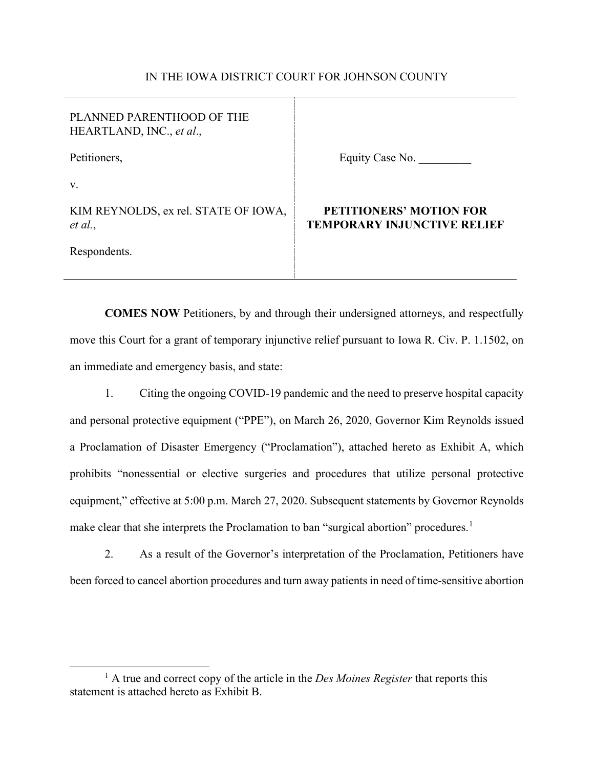### IN THE IOWA DISTRICT COURT FOR JOHNSON COUNTY

| PLANNED PARENTHOOD OF THE<br>HEARTLAND, INC., et al., |                                                                      |
|-------------------------------------------------------|----------------------------------------------------------------------|
| Petitioners,                                          | Equity Case No.                                                      |
| V.                                                    |                                                                      |
| KIM REYNOLDS, ex rel. STATE OF IOWA,<br>et al.,       | <b>PETITIONERS' MOTION FOR</b><br><b>TEMPORARY INJUNCTIVE RELIEF</b> |
| Respondents.                                          |                                                                      |

**COMES NOW** Petitioners, by and through their undersigned attorneys, and respectfully move this Court for a grant of temporary injunctive relief pursuant to Iowa R. Civ. P. 1.1502, on an immediate and emergency basis, and state:

1. Citing the ongoing COVID-19 pandemic and the need to preserve hospital capacity and personal protective equipment ("PPE"), on March 26, 2020, Governor Kim Reynolds issued a Proclamation of Disaster Emergency ("Proclamation"), attached hereto as Exhibit A, which prohibits "nonessential or elective surgeries and procedures that utilize personal protective equipment," effective at 5:00 p.m. March 27, 2020. Subsequent statements by Governor Reynolds make clear that she interprets the Proclamation to ban "surgical abortion" procedures.<sup>1</sup>

2. As a result of the Governor's interpretation of the Proclamation, Petitioners have been forced to cancel abortion procedures and turn away patients in need of time-sensitive abortion

<sup>&</sup>lt;sup>1</sup> A true and correct copy of the article in the *Des Moines Register* that reports this statement is attached hereto as Exhibit B.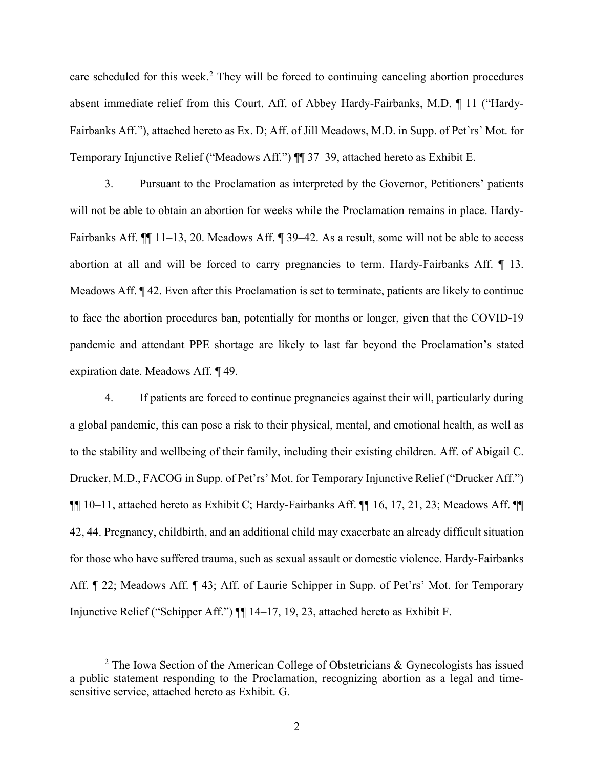care scheduled for this week.<sup>2</sup> They will be forced to continuing canceling abortion procedures absent immediate relief from this Court. Aff. of Abbey Hardy-Fairbanks, M.D. ¶ 11 ("Hardy-Fairbanks Aff."), attached hereto as Ex. D; Aff. of Jill Meadows, M.D. in Supp. of Pet'rs' Mot. for Temporary Injunctive Relief ("Meadows Aff.") ¶¶ 37–39, attached hereto as Exhibit E.

3. Pursuant to the Proclamation as interpreted by the Governor, Petitioners' patients will not be able to obtain an abortion for weeks while the Proclamation remains in place. Hardy-Fairbanks Aff. ¶¶ 11–13, 20. Meadows Aff. ¶ 39–42. As a result, some will not be able to access abortion at all and will be forced to carry pregnancies to term. Hardy-Fairbanks Aff. ¶ 13. Meadows Aff. ¶ 42. Even after this Proclamation is set to terminate, patients are likely to continue to face the abortion procedures ban, potentially for months or longer, given that the COVID-19 pandemic and attendant PPE shortage are likely to last far beyond the Proclamation's stated expiration date. Meadows Aff. ¶ 49.

4. If patients are forced to continue pregnancies against their will, particularly during a global pandemic, this can pose a risk to their physical, mental, and emotional health, as well as to the stability and wellbeing of their family, including their existing children. Aff. of Abigail C. Drucker, M.D., FACOG in Supp. of Pet'rs' Mot. for Temporary Injunctive Relief ("Drucker Aff.") ¶¶ 10–11, attached hereto as Exhibit C; Hardy-Fairbanks Aff. ¶¶ 16, 17, 21, 23; Meadows Aff. ¶¶ 42, 44. Pregnancy, childbirth, and an additional child may exacerbate an already difficult situation for those who have suffered trauma, such as sexual assault or domestic violence. Hardy-Fairbanks Aff. ¶ 22; Meadows Aff. ¶ 43; Aff. of Laurie Schipper in Supp. of Pet'rs' Mot. for Temporary Injunctive Relief ("Schipper Aff.") ¶¶ 14–17, 19, 23, attached hereto as Exhibit F.

 $2$  The Iowa Section of the American College of Obstetricians & Gynecologists has issued a public statement responding to the Proclamation, recognizing abortion as a legal and timesensitive service, attached hereto as Exhibit. G.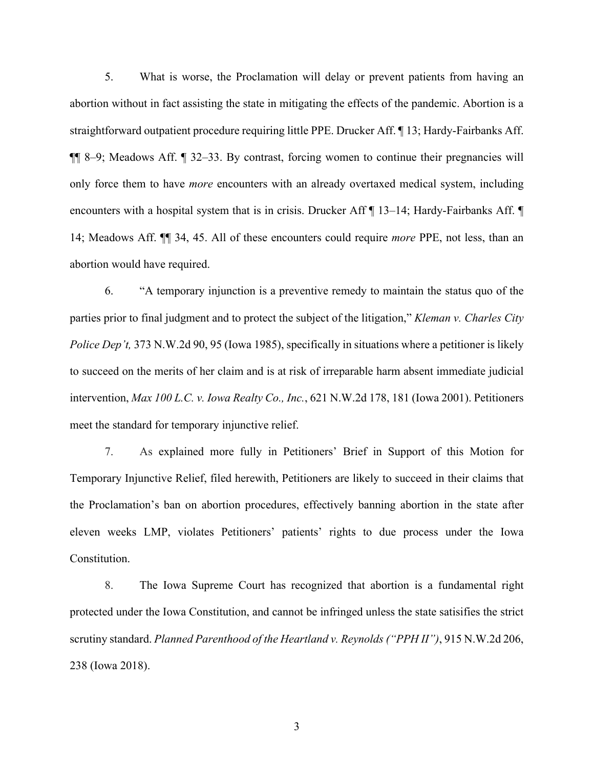5. What is worse, the Proclamation will delay or prevent patients from having an abortion without in fact assisting the state in mitigating the effects of the pandemic. Abortion is a straightforward outpatient procedure requiring little PPE. Drucker Aff. ¶ 13; Hardy-Fairbanks Aff. ¶¶ 8–9; Meadows Aff. ¶ 32–33. By contrast, forcing women to continue their pregnancies will only force them to have *more* encounters with an already overtaxed medical system, including encounters with a hospital system that is in crisis. Drucker Aff  $\P$  13–14; Hardy-Fairbanks Aff.  $\P$ 14; Meadows Aff. ¶¶ 34, 45. All of these encounters could require *more* PPE, not less, than an abortion would have required.

6. "A temporary injunction is a preventive remedy to maintain the status quo of the parties prior to final judgment and to protect the subject of the litigation," *Kleman v. Charles City Police Dep't,* 373 N.W.2d 90, 95 (Iowa 1985), specifically in situations where a petitioner is likely to succeed on the merits of her claim and is at risk of irreparable harm absent immediate judicial intervention, *Max 100 L.C. v. Iowa Realty Co., Inc.*, 621 N.W.2d 178, 181 (Iowa 2001). Petitioners meet the standard for temporary injunctive relief.

7. As explained more fully in Petitioners' Brief in Support of this Motion for Temporary Injunctive Relief, filed herewith, Petitioners are likely to succeed in their claims that the Proclamation's ban on abortion procedures, effectively banning abortion in the state after eleven weeks LMP, violates Petitioners' patients' rights to due process under the Iowa Constitution.

8. The Iowa Supreme Court has recognized that abortion is a fundamental right protected under the Iowa Constitution, and cannot be infringed unless the state satisifies the strict scrutiny standard. *Planned Parenthood of the Heartland v. Reynolds ("PPH II")*, 915 N.W.2d 206, 238 (Iowa 2018).

3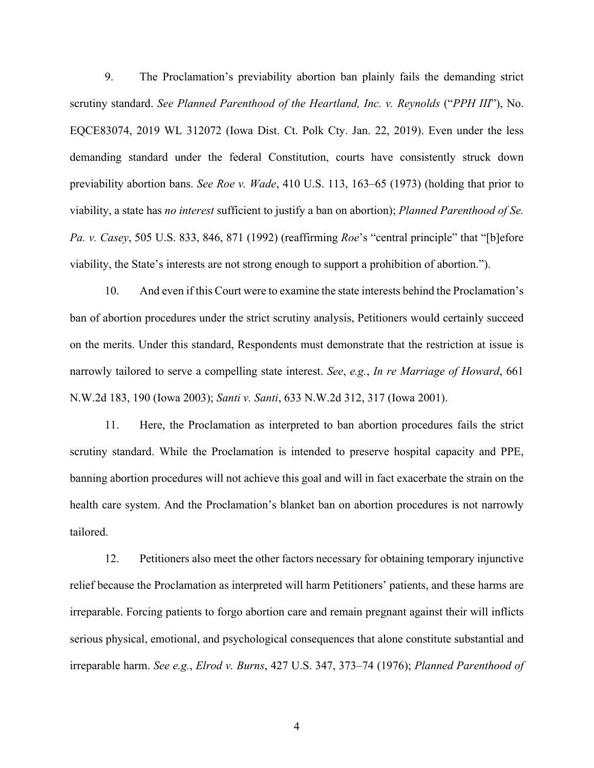9. The Proclamation's previability abortion ban plainly fails the demanding strict scrutiny standard. *See Planned Parenthood of the Heartland, Inc. v. Reynolds* ("*PPH III*"), No. EQCE83074, 2019 WL 312072 (Iowa Dist. Ct. Polk Cty. Jan. 22, 2019). Even under the less demanding standard under the federal Constitution, courts have consistently struck down previability abortion bans. *See Roe v. Wade*, 410 U.S. 113, 163–65 (1973) (holding that prior to viability, a state has *no interest* sufficient to justify a ban on abortion); *Planned Parenthood of Se. Pa. v. Casey*, 505 U.S. 833, 846, 871 (1992) (reaffirming *Roe*'s "central principle" that "[b]efore viability, the State's interests are not strong enough to support a prohibition of abortion.").

10. And even if this Court were to examine the state interests behind the Proclamation's ban of abortion procedures under the strict scrutiny analysis, Petitioners would certainly succeed on the merits. Under this standard, Respondents must demonstrate that the restriction at issue is narrowly tailored to serve a compelling state interest. *See*, *e.g.*, *In re Marriage of Howard*, 661 N.W.2d 183, 190 (Iowa 2003); *Santi v. Santi*, 633 N.W.2d 312, 317 (Iowa 2001).

11. Here, the Proclamation as interpreted to ban abortion procedures fails the strict scrutiny standard. While the Proclamation is intended to preserve hospital capacity and PPE, banning abortion procedures will not achieve this goal and will in fact exacerbate the strain on the health care system. And the Proclamation's blanket ban on abortion procedures is not narrowly tailored.

12. Petitioners also meet the other factors necessary for obtaining temporary injunctive relief because the Proclamation as interpreted will harm Petitioners' patients, and these harms are irreparable. Forcing patients to forgo abortion care and remain pregnant against their will inflicts serious physical, emotional, and psychological consequences that alone constitute substantial and irreparable harm. *See e.g.*, *Elrod v. Burns*, 427 U.S. 347, 373–74 (1976); *Planned Parenthood of* 

4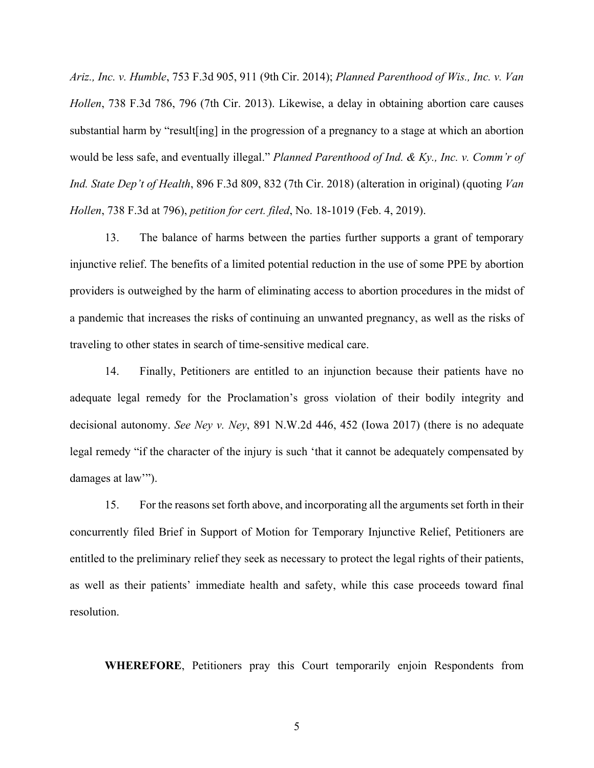*Ariz., Inc. v. Humble*, 753 F.3d 905, 911 (9th Cir. 2014); *Planned Parenthood of Wis., Inc. v. Van Hollen*, 738 F.3d 786, 796 (7th Cir. 2013). Likewise, a delay in obtaining abortion care causes substantial harm by "result[ing] in the progression of a pregnancy to a stage at which an abortion would be less safe, and eventually illegal." *Planned Parenthood of Ind. & Ky., Inc. v. Comm'r of Ind. State Dep't of Health*, 896 F.3d 809, 832 (7th Cir. 2018) (alteration in original) (quoting *Van Hollen*, 738 F.3d at 796), *petition for cert. filed*, No. 18-1019 (Feb. 4, 2019).

13. The balance of harms between the parties further supports a grant of temporary injunctive relief. The benefits of a limited potential reduction in the use of some PPE by abortion providers is outweighed by the harm of eliminating access to abortion procedures in the midst of a pandemic that increases the risks of continuing an unwanted pregnancy, as well as the risks of traveling to other states in search of time-sensitive medical care.

14. Finally, Petitioners are entitled to an injunction because their patients have no adequate legal remedy for the Proclamation's gross violation of their bodily integrity and decisional autonomy. *See Ney v. Ney*, 891 N.W.2d 446, 452 (Iowa 2017) (there is no adequate legal remedy "if the character of the injury is such 'that it cannot be adequately compensated by damages at law"").

15. For the reasons set forth above, and incorporating all the arguments set forth in their concurrently filed Brief in Support of Motion for Temporary Injunctive Relief, Petitioners are entitled to the preliminary relief they seek as necessary to protect the legal rights of their patients, as well as their patients' immediate health and safety, while this case proceeds toward final resolution.

**WHEREFORE**, Petitioners pray this Court temporarily enjoin Respondents from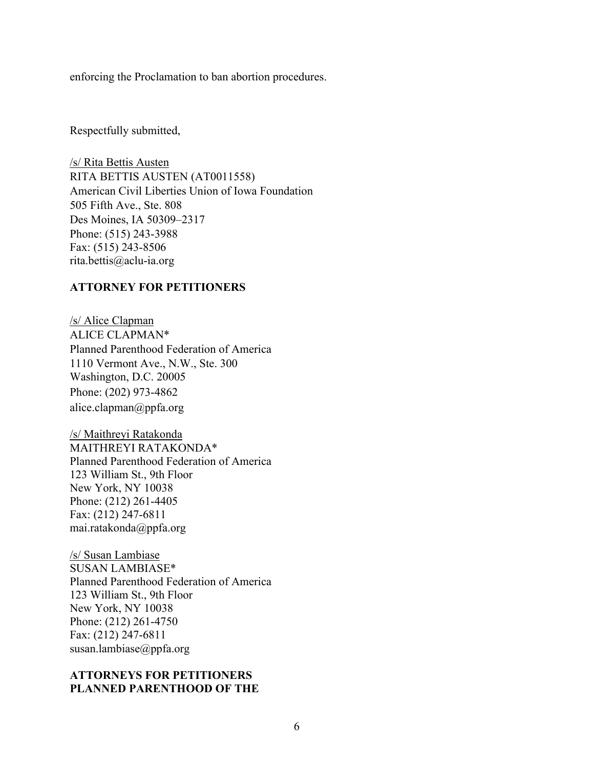enforcing the Proclamation to ban abortion procedures.

Respectfully submitted,

/s/ Rita Bettis Austen RITA BETTIS AUSTEN (AT0011558) American Civil Liberties Union of Iowa Foundation 505 Fifth Ave., Ste. 808 Des Moines, IA 50309–2317 Phone: (515) 243-3988 Fax: (515) 243-8506 rita.bettis@aclu-ia.org

#### **ATTORNEY FOR PETITIONERS**

/s/ Alice Clapman ALICE CLAPMAN\* Planned Parenthood Federation of America 1110 Vermont Ave., N.W., Ste. 300 Washington, D.C. 20005 Phone: (202) 973-4862 alice.clapman@ppfa.org

/s/ Maithreyi Ratakonda MAITHREYI RATAKONDA\* Planned Parenthood Federation of America 123 William St., 9th Floor New York, NY 10038 Phone: (212) 261-4405 Fax: (212) 247-6811 mai.ratakonda@ppfa.org

/s/ Susan Lambiase SUSAN LAMBIASE\* Planned Parenthood Federation of America 123 William St., 9th Floor New York, NY 10038 Phone: (212) 261-4750 Fax: (212) 247-6811 susan.lambiase@ppfa.org

### **ATTORNEYS FOR PETITIONERS PLANNED PARENTHOOD OF THE**